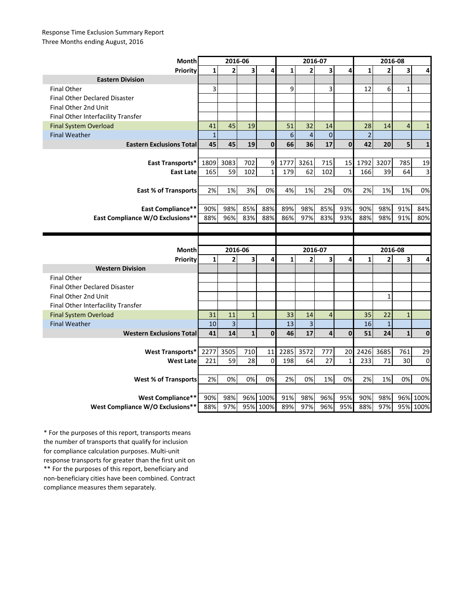## Response Time Exclusion Summary Report Three Months ending August, 2016

| <b>Month</b>                                                 | 2016-06      |                         |              |                      | 2016-07        |                |                |              | 2016-08        |                |                |                  |
|--------------------------------------------------------------|--------------|-------------------------|--------------|----------------------|----------------|----------------|----------------|--------------|----------------|----------------|----------------|------------------|
| Priority                                                     | $\mathbf{1}$ | $\overline{2}$          | 3            | 4                    | $\mathbf{1}$   | $\overline{2}$ | 3              | 4            | $\mathbf{1}$   | $\overline{2}$ | 3              | 4                |
| <b>Eastern Division</b>                                      |              |                         |              |                      |                |                |                |              |                |                |                |                  |
| <b>Final Other</b>                                           | 3            |                         |              |                      | 9              |                | 3              |              | 12             | 6              | $\mathbf{1}$   |                  |
| <b>Final Other Declared Disaster</b>                         |              |                         |              |                      |                |                |                |              |                |                |                |                  |
| Final Other 2nd Unit                                         |              |                         |              |                      |                |                |                |              |                |                |                |                  |
| Final Other Interfacility Transfer                           |              |                         |              |                      |                |                |                |              |                |                |                |                  |
| <b>Final System Overload</b>                                 | 41           | 45                      | 19           |                      | 51             | 32             | 14             |              | 28             | 14             | $\overline{4}$ | $\mathbf{1}$     |
| <b>Final Weather</b>                                         | $\mathbf 1$  |                         |              |                      | $6\phantom{1}$ | $\overline{4}$ | $\mathbf 0$    |              | $\overline{c}$ |                |                |                  |
| <b>Eastern Exclusions Total</b>                              | 45           | 45                      | 19           | $\mathbf{0}$         | 66             | 36             | 17             | $\mathbf{0}$ | 42             | 20             | 5              | $\mathbf{1}$     |
|                                                              |              |                         |              |                      |                |                |                |              |                |                |                |                  |
| East Transports*                                             | 1809         | 3083                    | 702          | 9                    | 1777           | 3261           | 715            | 15           | 1792           | 3207           | 785            | 19               |
| <b>East Late</b>                                             | 165          | 59                      | 102          | $\mathbf{1}$         | 179            | 62             | 102            | $\mathbf 1$  | 166            | 39             | 64             | 3                |
|                                                              |              |                         |              |                      |                |                |                |              |                |                |                |                  |
| <b>East % of Transports</b>                                  | 2%           | 1%                      | 3%           | 0%                   | 4%             | 1%             | 2%             | 0%           | 2%             | 1%             | 1%             | 0%               |
|                                                              |              |                         |              |                      |                |                |                |              |                |                |                |                  |
| <b>East Compliance**</b>                                     | 90%          | 98%                     | 85%          | 88%                  | 89%            | 98%            | 85%            | 93%          | 90%            | 98%            | 91%            | 84%              |
| East Compliance W/O Exclusions**                             | 88%          | 96%                     | 83%          | 88%                  | 86%            | 97%            | 83%            | 93%          | 88%            | 98%            | 91%            | 80%              |
|                                                              |              |                         |              |                      |                |                |                |              |                |                |                |                  |
|                                                              |              |                         |              |                      |                |                |                |              |                |                |                |                  |
|                                                              |              |                         |              |                      |                |                |                |              |                |                |                |                  |
| Month                                                        |              | 2016-06                 |              |                      |                | 2016-07        |                |              |                | 2016-08        |                |                  |
| Priority                                                     | $\mathbf{1}$ | $\overline{2}$          | 3            | 4                    | $\mathbf{1}$   | $\overline{2}$ | 3              | 4            | $\mathbf{1}$   | $\overline{2}$ | 3              | 4                |
| <b>Western Division</b>                                      |              |                         |              |                      |                |                |                |              |                |                |                |                  |
| <b>Final Other</b>                                           |              |                         |              |                      |                |                |                |              |                |                |                |                  |
| <b>Final Other Declared Disaster</b>                         |              |                         |              |                      |                |                |                |              |                |                |                |                  |
| Final Other 2nd Unit                                         |              |                         |              |                      |                |                |                |              |                | $\mathbf{1}$   |                |                  |
| Final Other Interfacility Transfer                           |              |                         |              |                      |                |                |                |              |                |                |                |                  |
| <b>Final System Overload</b>                                 | 31           | 11                      | $\mathbf{1}$ |                      | 33             | 14             | $\overline{4}$ |              | 35             | 22             | $\mathbf{1}$   |                  |
| <b>Final Weather</b>                                         | 10           | $\overline{\mathbf{3}}$ |              |                      | 13             | 3              |                |              | 16             | $\mathbf{1}$   |                |                  |
| <b>Western Exclusions Total</b>                              | 41           | 14                      | $\mathbf{1}$ | $\mathbf{0}$         | 46             | 17             | 4              | $\mathbf 0$  | 51             | 24             | $\mathbf{1}$   | $\mathbf 0$      |
|                                                              |              |                         |              |                      |                |                |                |              |                |                |                |                  |
| <b>West Transports*</b>                                      | 2277         | 3505                    | 710          | 11                   | 2285           | 3572           | 777            | 20           | 2426           | 3685           | 761            | 29               |
| West Late                                                    | 221          | 59                      | 28           | $\mathbf 0$          | 198            | 64             | 27             | 1            | 233            | 71             | 30             | 0                |
|                                                              |              |                         |              |                      |                |                |                |              |                |                |                |                  |
| <b>West % of Transports</b>                                  | 2%           | 0%                      | 0%           | 0%                   | 2%             | 0%             | 1%             | 0%           | 2%             | 1%             | 0%             | 0%               |
|                                                              |              |                         |              |                      |                |                |                |              |                |                |                |                  |
| <b>West Compliance**</b><br>West Compliance W/O Exclusions** | 90%<br>88%   | 98%<br>97%              |              | 96% 100%<br>95% 100% | 91%<br>89%     | 98%<br>97%     | 96%<br>96%     | 95%<br>95%   | 90%<br>88%     | 98%<br>97%     | 96%            | 100%<br>95% 100% |

\*\* For the purposes of this report, beneficiary and non-beneficiary cities have been combined. Contract compliance measures them separately. \* For the purposes of this report, transports means the number of transports that qualify for inclusion for compliance calculation purposes. Multi-unit response transports for greater than the first unit on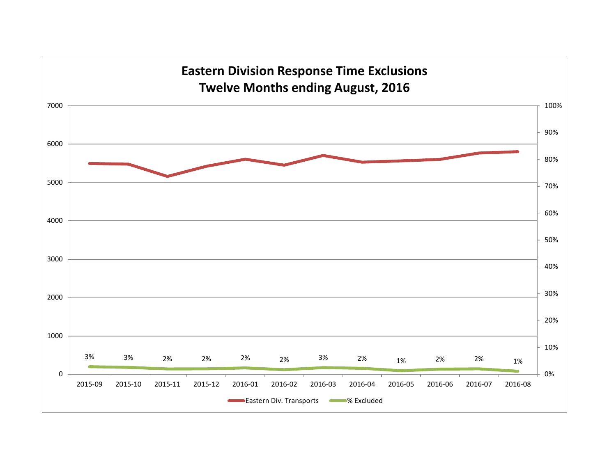